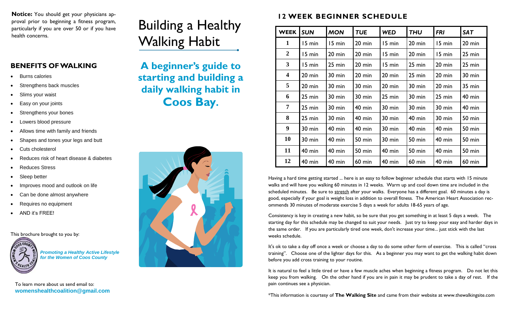**Notice:** You should get your physicians approval prior to beginning a fitness program, particularly if you are over 50 or if you have health concerns.

## **BENEFITS OF WALKING**

- Burns calories
- Strengthens back muscles
- Slims your waist
- Easy on your joints
- Strengthens your bones
- Lowers blood pressure
- Allows time with family and friends
- Shapes and tones your legs and butt
- Cuts cholesterol
- Reduces risk of heart disease & diabetes
- Reduces Stress
- Sleep better
- Improves mood and outlook on life
- Can be done almost anywhere
- Requires no equipment
- AND it's FREE!

This brochure brought to you by:



*Promoting a Healthy Active Lifestyle for the Women of Coos County*

To learn more about us send email to: **womenshealthcoalition@gmail.com** 

## Building a Healthy Walking Habit

**A beginner's guide to starting and building a daily walking habit in Coos Bay.**



## **12 WEEK BEGINNER SCHEDULE**

| <b>WEEK</b>             | <b>SUN</b>       | <b>MON</b>       | <b>TUE</b>       | <b>WED</b>       | <b>THU</b>       | <b>FRI</b>       | <b>SAT</b>       |
|-------------------------|------------------|------------------|------------------|------------------|------------------|------------------|------------------|
| $\mathbf{1}$            | 15 min           | 15 min           | 20 min           | 15 min           | 20 min           | 15 min           | $20$ min         |
| $\boldsymbol{2}$        | 15 min           | $20 \text{ min}$ | $20 \text{ min}$ | 15 min           | $20 \text{ min}$ | 15 min           | 25 min           |
| 3                       | 15 min           | 25 min           | $20 \text{ min}$ | 15 min           | 25 min           | $20$ min         | $25 \text{ min}$ |
| $\overline{\mathbf{4}}$ | 20 min           | 30 min           | $20 \text{ min}$ | $20 \text{ min}$ | 25 min           | $20$ min         | 30 min           |
| 5                       | 20 min           | 30 min           | 30 min           | $20 \text{ min}$ | 30 min           | $20 \text{ min}$ | $35 \text{ min}$ |
| 6                       | 25 min           | 30 min           | 30 min           | 25 min           | 30 min           | $25 \text{ min}$ | $40$ min         |
| 7                       | 25 min           | 30 min           | $40$ min         | $30 \text{ min}$ | 30 min           | 30 min           | $40$ min         |
| 8                       | $25 \text{ min}$ | $30 \text{ min}$ | $40$ min         | 30 min           | $40$ min         | 30 min           | 50 min           |
| 9                       | $30 \text{ min}$ | $40$ min         | $40$ min         | $30 \text{ min}$ | $40$ min         | $40$ min         | 50 min           |
| 10                      | 30 min           | $40$ min         | 50 min           | 30 min           | <b>50 min</b>    | $40$ min         | 50 min           |
| 11                      | $40 \text{ min}$ | $40$ min         | 50 min           | $40$ min         | <b>50 min</b>    | $40$ min         | <b>50 min</b>    |
| 12                      | $40$ min         | $40$ min         | $60$ min         | $40$ min         | $60$ min         | $40$ min         | $60$ min         |

Having a hard time getting started ... here is an easy to follow beginner schedule that starts with 15 minute walks and will have you walking 60 minutes in 12 weeks. Warm up and cool down time are included in the scheduled minutes. Be sure to [stretch](http://www.thewalkingsite.com/stretching.html) after your walks. Everyone has a different goal. 60 minutes a day is good, especially if your goal is weight loss in addition to overall fitness. The American Heart Association recommends 30 minutes of moderate exercise 5 days a week for adults 18-65 years of age.

Consistency is key in creating a new habit, so be sure that you get something in at least 5 days a week. The starting day for this schedule may be changed to suit your needs. Just try to keep your easy and harder days in the same order. If you are particularly tired one week, don't increase your time... just stick with the last weeks schedule.

It's ok to take a day off once a week or choose a day to do some other form of exercise. This is called "cross training". Choose one of the lighter days for this. As a beginner you may want to get the walking habit down before you add cross training to your routine.

It is natural to feel a little tired or have a few muscle aches when beginning a fitness program. Do not let this keep you from walking. On the other hand if you are in pain it may be prudent to take a day of rest. If the pain continues see a physician.

\*This information is courtesy of **The Walking Site** and came from their website at www.thewalkingsite.com